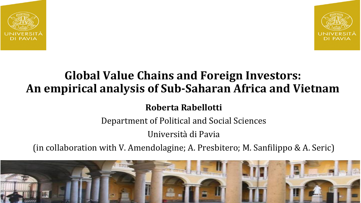



## **Global Value Chains and Foreign Investors:** An empirical analysis of Sub-Saharan Africa and Vietnam

**Roberta Rabellotti** 

Department of Political and Social Sciences

Università di Pavia 

(in collaboration with V. Amendolagine; A. Presbitero; M. Sanfilippo & A. Seric)

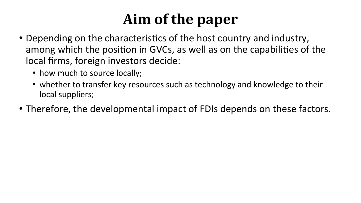## Aim of the paper

- Depending on the characteristics of the host country and industry, among which the position in GVCs, as well as on the capabilities of the local firms, foreign investors decide:
	- how much to source locally;
	- whether to transfer key resources such as technology and knowledge to their local suppliers;
- Therefore, the developmental impact of FDIs depends on these factors.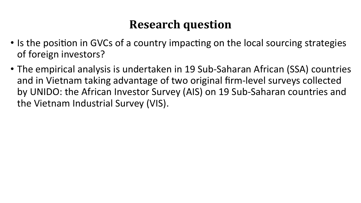## **Research question**

- Is the position in GVCs of a country impacting on the local sourcing strategies of foreign investors?
- The empirical analysis is undertaken in 19 Sub-Saharan African (SSA) countries and in Vietnam taking advantage of two original firm-level surveys collected by UNIDO: the African Investor Survey (AIS) on 19 Sub-Saharan countries and the Vietnam Industrial Survey (VIS).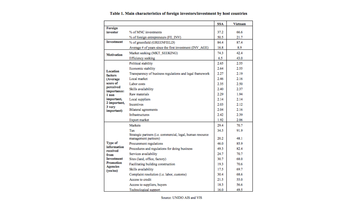|                                                                         |                                                            | SSA          | Vietnam      |
|-------------------------------------------------------------------------|------------------------------------------------------------|--------------|--------------|
| Foreign                                                                 |                                                            |              |              |
| investor                                                                | % of MNC investments                                       | 37.2         | 66.6         |
|                                                                         | % of foreign entrepreneurs (FE_INV)                        | 50.5         | 21.7         |
| Investment                                                              | % of greenfield (GREENFIELD)                               | 84.4         | 87.4         |
|                                                                         | Average # of years since the first investment (INV_AGE)    | 16.8         | 8.9          |
| <b>Motivation</b>                                                       | Market seeking (MKT SEEKING)                               | 74.3         | 42.4         |
|                                                                         | Efficiency seeking                                         | 6.5          | 43.0         |
| Location<br>factors<br>(Average<br>score of<br>perceived<br>importance: | Political stability                                        | 2.65         | 2.55         |
|                                                                         | Economic stability                                         | 2.64         | 2.55         |
|                                                                         | Transparency of business regulations and legal framework   | 2.27         | 2.19         |
|                                                                         | Local market                                               | 2.46         | 2.16         |
|                                                                         | Labor costs                                                | 2.35         | 2.50         |
|                                                                         | Skills availability                                        | 2.40         | 2.37         |
| 1 non                                                                   | Raw materials                                              | 2.29         | 1.94         |
| important,                                                              | Local suppliers                                            | 2.14         | 2.14         |
| 2 important,<br>3 very                                                  | <b>Incentives</b>                                          | 2.03         | 2.12         |
| important)                                                              | <b>Bilateral</b> agreements                                | 2.04         | 2.16         |
|                                                                         | <b>Infrastructures</b>                                     | 2.42         | 2.39         |
|                                                                         | Export market                                              | 1.92         | 2.06         |
|                                                                         | Markets                                                    | 29.4         | 70.7         |
|                                                                         | Tax                                                        | 34.5         | 91.9         |
|                                                                         | Strategic partners (i.e. commercial, legal, human resource |              |              |
| Type of                                                                 | management partners)                                       | 20.2<br>46.0 | 48.1<br>85.9 |
| information                                                             | Procurement regulations                                    |              |              |
| received<br>from                                                        | Procedures and regulations for doing business              | 49.3         | 82.4         |
|                                                                         | Services availability                                      | 24.7         | 70.7         |
| <b>Investment</b><br>Promotion                                          | Sites (land, office, factory)                              | 30.7         | 68.0         |
| <b>Agencies</b><br>(yes/no)                                             | Facilitating building construction                         | 19.3         | 70.6         |
|                                                                         | Skills availability                                        | 17.5         | 69.7         |
|                                                                         | Complaint resolution (i.e. labor, customs)                 | 30.4         | 68.6         |
|                                                                         | Access to credit                                           | 21.5         | 55.0         |
|                                                                         | Access to suppliers, buyers                                | 18.3         | 56.6         |
|                                                                         | <b>Technological</b> support                               | 16.0         | 49.5         |

#### Table 1. Main characteristics of foreign investors/investment by host countries

Source: UNIDO AIS and VIS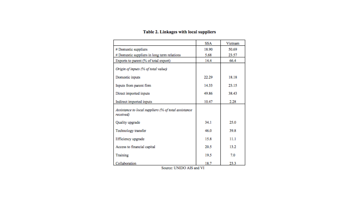|                                                                   | SSA   | Vietnam |
|-------------------------------------------------------------------|-------|---------|
| # Domestic suppliers                                              | 18.90 | 50.69   |
| # Domestic suppliers in long term relations                       | 5.68  | 23.57   |
| Exports to parent (% of total export)                             | 14.4  | 66.4    |
| Origin of inputs (% of total value)                               |       |         |
| Domestic inputs                                                   | 22.29 | 18.18   |
| Inputs from parent firm                                           | 14.33 | 23.15   |
| Direct imported inputs                                            | 49.86 | 38.43   |
| Indirect imported inputs                                          | 10.47 | 2.28    |
| Assistance to local suppliers (% of total assistance<br>received) |       |         |
| Quality upgrade                                                   | 34.1  | 25.0    |
| Technology transfer                                               | 46.0  | 39.8    |
| Efficiency upgrade                                                | 15.8  | 11.1    |
| Access to financial capital                                       | 20.5  | 13.2    |
| Training                                                          | 19.5  | 7.0     |
| Collaboration                                                     | 18.7  | 23.3    |

#### Table 2. Linkages with local suppliers

Source: UNIDO AIS and VI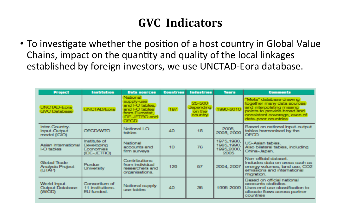### **GVC** Indicators

• To investigate whether the position of a host country in Global Value Chains, impact on the quantity and quality of the local linkages established by foreign investors, we use UNCTAD-Eora database.

| <b>Project</b>                                    | <b>Institution</b>                                            | <b>Data sources</b>                                                                                                 | <b>Countries</b> | <b>Industries</b>                        | <b>Years</b>                                     | <b>Comments</b>                                                                                                                                                          |
|---------------------------------------------------|---------------------------------------------------------------|---------------------------------------------------------------------------------------------------------------------|------------------|------------------------------------------|--------------------------------------------------|--------------------------------------------------------------------------------------------------------------------------------------------------------------------------|
| <b>UNCTAD-Eora</b><br><b>GVC Database</b>         | <b>UNCTAD/Eora</b>                                            | National<br>supply-use<br>and I-O tables,<br>and I-O tables<br>from Eurostat.<br>IDE-JETRO and<br>OECD <sup>1</sup> | 187              | 25-500<br>depending<br>on the<br>country | 1990-2010                                        | "Meta" database drawing<br>together many data sources<br>and interpolating missing<br>points to provide broad and<br>consistent coverage, even of<br>data-poor countries |
| Inter-Country-<br>Input-Output<br>model (ICIO)    | <b>OECD/WTO</b>                                               | National I-O<br>tables                                                                                              | 40               | 18                                       | 2005,<br>2008, 2009                              | Based on national input-output<br>tables harmonised by the<br>OECD                                                                                                       |
| Asian International<br>I-O tables                 | <b>Institute of</b><br>Developing<br>Economies<br>(IDE-JETRO) | <b>National</b><br>accounts and<br>firm surveys                                                                     | 10               | 76                                       | 1975, 1980,<br>1985, 1990,<br>1995,2000,<br>2005 | US-Asian tables.<br>Also bilateral tables, including<br>China-Japan.                                                                                                     |
| Global Trade<br><b>Analysis Project</b><br>(GTAP) | Purdue<br><b>University</b>                                   | <b>Contributions</b><br>from individual<br>researchers and<br>organisations.                                        | 129              | 57                                       | 2004, 2007                                       | Non-official dataset.<br>Includes data on areas such as<br>energy volumes, land use, CO2<br>emissions and international<br>migration.                                    |
| World Input-<br><b>Output Database</b><br>(WIOD)  | Consortium of<br>11 institutions.<br>EU funded.               | National supply-<br>use tables                                                                                      | 40               | 35                                       | 1995-2009                                        | Based on official national<br>accounts statistics.<br>Uses end-use classification to<br>allocate flows across partner<br>countries                                       |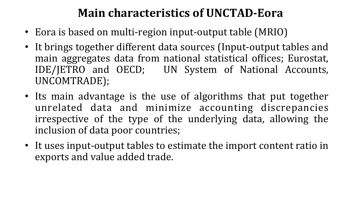### **Main characteristics of UNCTAD-Eora**

- Eora is based on multi-region input-output table (MRIO)
- It brings together different data sources (Input-output tables and main aggregates data from national statistical offices; Eurostat, IDE/JETRO and OECD; UN System of National Accounts, UNCOMTRADE);
- Its main advantage is the use of algorithms that put together unrelated data and minimize accounting discrepancies irrespective of the type of the underlying data, allowing the inclusion of data poor countries;
- It uses input-output tables to estimate the import content ratio in exports and value added trade.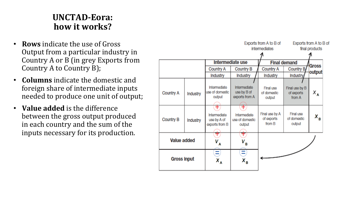#### **UNCTAD-Eora:**  how it works?

- **Rows** indicate the use of Gross Output from a particular industry in Country A or B (in grey Exports from Country A to Country B);
- **Columns** indicate the domestic and foreign share of intermediate inputs needed to produce one unit of output;
- **Value added** is the difference between the gross output produced in each country and the sum of the inputs necessary for its production.

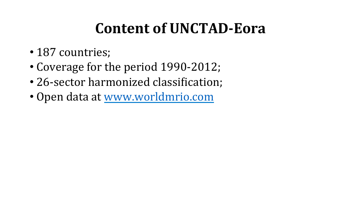## **Content of UNCTAD-Eora**

- 187 countries;
- Coverage for the period 1990-2012;
- 26-sector harmonized classification;
- Open data at www.worldmrio.com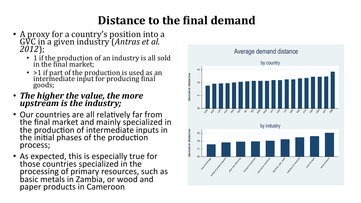## **Distance to the final demand**

- A proxy for a country's position into a GVC in a given industry *(Antras et al.*) *2012*);
	- 1 if the production of an industry is all sold in the final market;
	- $>1$  if part of the production is used as an intermediate input for producing final goods;
- The higher the value, the more *upstream is the industry;*
- Our countries are all relatively far from the final market and mainly specialized in the production of intermediate inputs in the initial phases of the production process;
- As expected, this is especially true for those countries specialized in the processing of primary resources, such as basic metals in Zambia, or wood and paper products in Cameroon

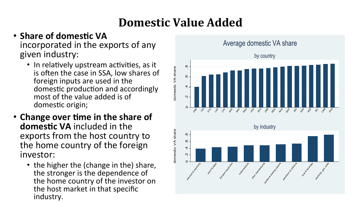## **Domestic Value Added**

#### • Share of domestic VA incorporated in the exports of any given industry:

- In relatively upstream activities, as it is often the case in SSA, low shares of foreign inputs are used in the domestic production and accordingly most of the value added is of domestic origin;
- Change over time in the share of **domestic VA** included in the exports from the host country to the home country of the foreign investor:
	- the higher the (change in the) share, the stronger is the dependence of the home country of the investor on the host market in that specific industry.

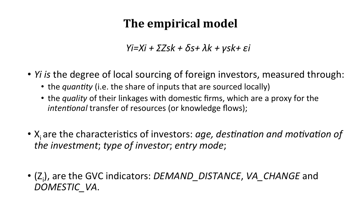## **The empirical model**

*Yi=Xi + ΣZsk + δs+ λk + γsk+ εi*

- *Yi is* the degree of local sourcing of foreign investors, measured through:
	- the *quantity* (i.e. the share of inputs that are sourced locally)
	- the *quality* of their linkages with domestic firms, which are a proxy for the *intentional* transfer of resources (or knowledge flows);
- X<sub>i</sub> are the characteristics of investors: *age, destination and motivation of the investment; type of investor; entry mode;*
- (Z<sub>i</sub>), are the GVC indicators: *DEMAND\_DISTANCE*, VA\_CHANGE and *DOMESTIC\_VA*.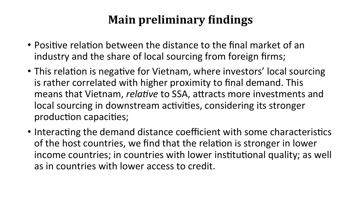## **Main preliminary findings**

- Positive relation between the distance to the final market of an industry and the share of local sourcing from foreign firms;
- This relation is negative for Vietnam, where investors' local sourcing is rather correlated with higher proximity to final demand. This means that Vietnam, *relative* to SSA, attracts more investments and local sourcing in downstream activities, considering its stronger production capacities;
- Interacting the demand distance coefficient with some characteristics of the host countries, we find that the relation is stronger in lower income countries; in countries with lower institutional quality; as well as in countries with lower access to credit.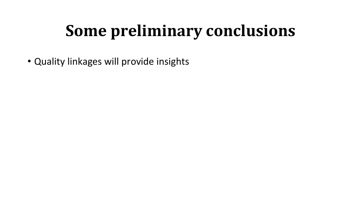# **Some preliminary conclusions**

• Quality linkages will provide insights